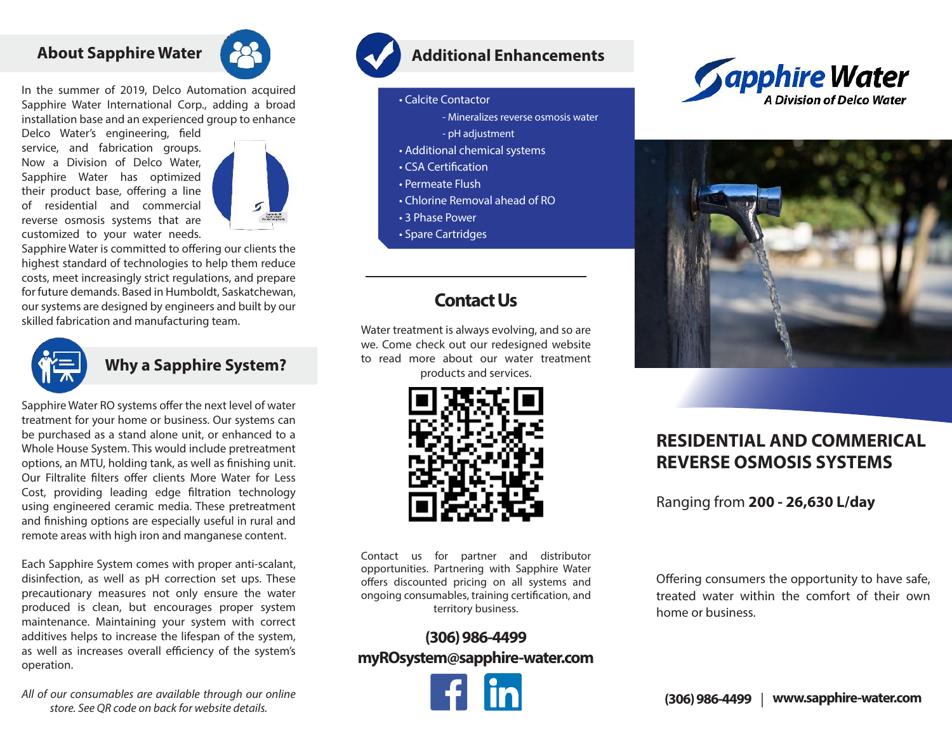## **About Sapphire Water**



In the summer of 2019, Delco Automation acquired Sapphire Water International Corp., adding a broad installation base and an experienced group to enhance

Delco Water's engineering, field service, and fabrication groups. Now a Division of Delco Water, Sapphire Water has optimized their product base, offering a line of residential and commercial reverse osmosis systems that are customized to your water needs.



Sapphire Water is committed to offering our clients the highest standard of technologies to help them reduce costs, meet increasingly strict regulations, and prepare for future demands. Based in Humboldt, Saskatchewan, our systems are designed by engineers and built by our skilled fabrication and manufacturing team.



#### **Why a Sapphire System?**

Sapphire Water RO systems offer the next level of water treatment for your home or business. Our systems can be purchased as a stand alone unit, or enhanced to a Whole House System. This would include pretreatment options, an MTU, holding tank, as well as finishing unit. Our Filtralite filters offer clients More Water for Less Cost, providing leading edge filtration technology using engineered ceramic media. These pretreatment and finishing options are especially useful in rural and remote areas with high iron and manganese content.

Each Sapphire System comes with proper anti-scalant, disinfection, as well as pH correction set ups. These precautionary measures not only ensure the water produced is clean, but encourages proper system maintenance. Maintaining your system with correct additives helps to increase the lifespan of the system, as well as increases overall efficiency of the system's operation.

## **Additional Enhancements**

- Calcite Contactor
	- Mineralizes reverse osmosis water
	- pH adjustment
- Additional chemical systems
- CSA Certification
- Permeate Flush
- Chlorine Removal ahead of RO
- 3 Phase Power
- Spare Cartridges

## **Contact Us**

Water treatment is always evolving, and so are we. Come check out our redesigned website to read more about our water treatment products and services.



Contact us for partner and distributor opportunities. Partnering with Sapphire Water offers discounted pricing on all systems and ongoing consumables, training certification, and territory business.

### **(306) 986-4499 myROsystem@sapphire-water.com**







# **RESIDENTIAL AND COMMERICAL REVERSE OSMOSIS SYSTEMS**

Ranging from **200 - 26,630 L/day**

Offering consumers the opportunity to have safe, treated water within the comfort of their own home or business.

*All of our consumables are available through our online store. See QR code on back for website details.*